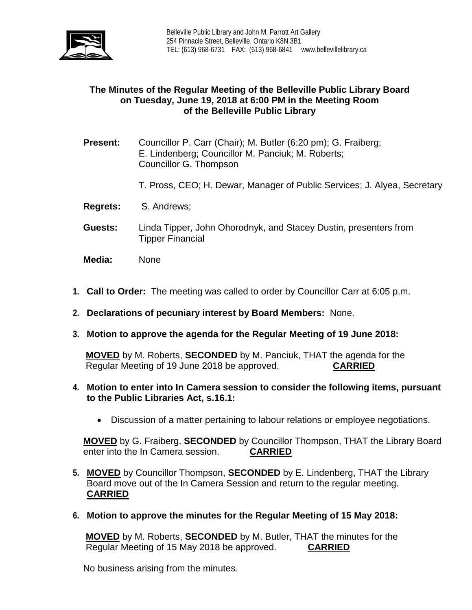

# **The Minutes of the Regular Meeting of the Belleville Public Library Board on Tuesday, June 19, 2018 at 6:00 PM in the Meeting Room of the Belleville Public Library**

- **Present:** Councillor P. Carr (Chair); M. Butler (6:20 pm); G. Fraiberg; E. Lindenberg; Councillor M. Panciuk; M. Roberts; Councillor G. Thompson
	- T. Pross, CEO; H. Dewar, Manager of Public Services; J. Alyea, Secretary
- **Regrets:** S. Andrews;
- **Guests:** Linda Tipper, John Ohorodnyk, and Stacey Dustin, presenters from Tipper Financial
- **Media:** None
- **1. Call to Order:** The meeting was called to order by Councillor Carr at 6:05 p.m.
- **2. Declarations of pecuniary interest by Board Members:** None.
- **3. Motion to approve the agenda for the Regular Meeting of 19 June 2018:**

**MOVED** by M. Roberts, **SECONDED** by M. Panciuk, THAT the agenda for the Regular Meeting of 19 June 2018 be approved. **CARRIED**

- **4. Motion to enter into In Camera session to consider the following items, pursuant to the Public Libraries Act, s.16.1:**
	- Discussion of a matter pertaining to labour relations or employee negotiations.

**MOVED** by G. Fraiberg, **SECONDED** by Councillor Thompson, THAT the Library Board enter into the In Camera session. **CARRIED**

- **5. MOVED** by Councillor Thompson, **SECONDED** by E. Lindenberg, THAT the Library Board move out of the In Camera Session and return to the regular meeting. **CARRIED**
- **6. Motion to approve the minutes for the Regular Meeting of 15 May 2018:**

**MOVED** by M. Roberts, **SECONDED** by M. Butler, THAT the minutes for the Regular Meeting of 15 May 2018 be approved. **CARRIED**

No business arising from the minutes.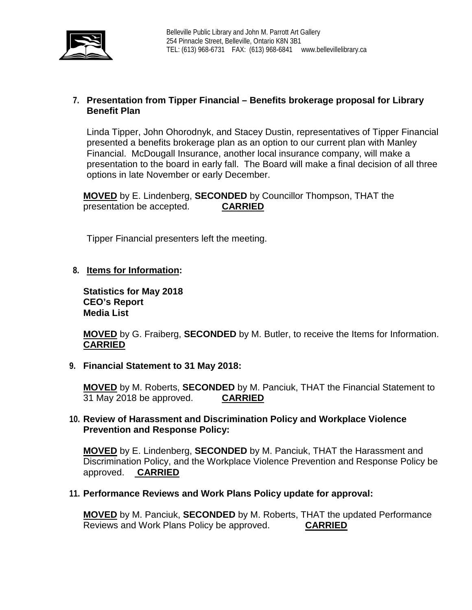

## **7. Presentation from Tipper Financial – Benefits brokerage proposal for Library Benefit Plan**

Linda Tipper, John Ohorodnyk, and Stacey Dustin, representatives of Tipper Financial presented a benefits brokerage plan as an option to our current plan with Manley Financial. McDougall Insurance, another local insurance company, will make a presentation to the board in early fall. The Board will make a final decision of all three options in late November or early December.

**MOVED** by E. Lindenberg, **SECONDED** by Councillor Thompson, THAT the presentation be accepted. **CARRIED**

Tipper Financial presenters left the meeting.

# **8. Items for Information:**

**Statistics for May 2018 CEO's Report Media List**

**MOVED** by G. Fraiberg, **SECONDED** by M. Butler, to receive the Items for Information. **CARRIED**

## **9. Financial Statement to 31 May 2018:**

**MOVED** by M. Roberts, **SECONDED** by M. Panciuk, THAT the Financial Statement to 31 May 2018 be approved.

## **10. Review of Harassment and Discrimination Policy and Workplace Violence Prevention and Response Policy:**

**MOVED** by E. Lindenberg, **SECONDED** by M. Panciuk, THAT the Harassment and Discrimination Policy, and the Workplace Violence Prevention and Response Policy be approved. **CARRIED**

## **11. Performance Reviews and Work Plans Policy update for approval:**

**MOVED** by M. Panciuk, **SECONDED** by M. Roberts, THAT the updated Performance Reviews and Work Plans Policy be approved. **CARRIED**